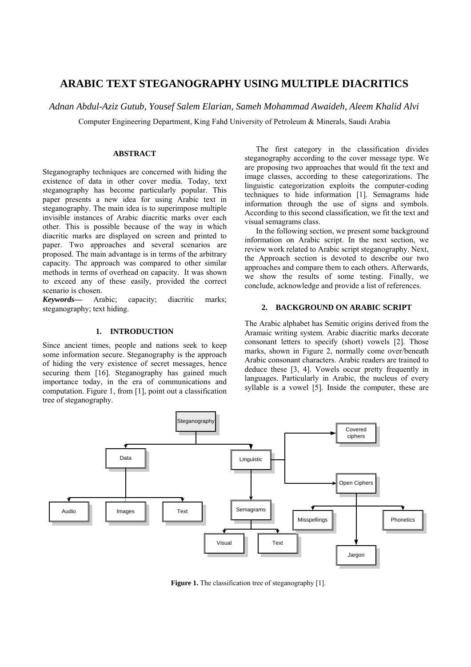# **ARABIC TEXT STEGANOGRAPHY USING MULTIPLE DIACRITICS**

*Adnan Abdul-Aziz Gutub, Yousef Salem Elarian, Sameh Mohammad Awaideh, Aleem Khalid Alvi* 

Computer Engineering Department, King Fahd University of Petroleum & Minerals, Saudi Arabia

# **ABSTRACT**

Steganography techniques are concerned with hiding the existence of data in other cover media. Today, text steganography has become particularly popular. This paper presents a new idea for using Arabic text in steganography. The main idea is to superimpose multiple invisible instances of Arabic diacritic marks over each other. This is possible because of the way in which diacritic marks are displayed on screen and printed to paper. Two approaches and several scenarios are proposed. The main advantage is in terms of the arbitrary capacity. The approach was compared to other similar methods in terms of overhead on capacity. It was shown to exceed any of these easily, provided the correct scenario is chosen.

*Keywords—* Arabic; capacity; diacritic marks; steganography; text hiding.

# **1. INTRODUCTION**

Since ancient times, people and nations seek to keep some information secure. Steganography is the approach of hiding the very existence of secret messages, hence securing them [16]. Steganography has gained much importance today, in the era of communications and computation. Figure 1, from [1], point out a classification tree of steganography.

 The first category in the classification divides steganography according to the cover message type. We are proposing two approaches that would fit the text and image classes, according to these categorizations. The linguistic categorization exploits the computer-coding techniques to hide information [1]. Semagrams hide information through the use of signs and symbols. According to this second classification, we fit the text and visual semagrams class.

 In the following section, we present some background information on Arabic script. In the next section, we review work related to Arabic script steganography. Next, the Approach section is devoted to describe our two approaches and compare them to each others. Afterwards, we show the results of some testing. Finally, we conclude, acknowledge and provide a list of references.

# **2. BACKGROUND ON ARABIC SCRIPT**

The Arabic alphabet has Semitic origins derived from the Aramaic writing system. Arabic diacritic marks decorate consonant letters to specify (short) vowels [2]. Those marks, shown in Figure 2, normally come over/beneath Arabic consonant characters. Arabic readers are trained to deduce these [3, 4]. Vowels occur pretty frequently in languages. Particularly in Arabic, the nucleus of every syllable is a vowel [5]. Inside the computer, these are



**Figure 1.** The classification tree of steganography [1].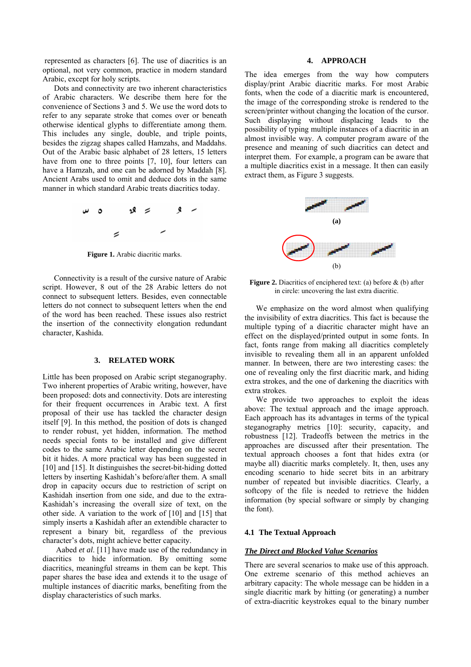represented as characters [6]. The use of diacritics is an optional, not very common, practice in modern standard Arabic, except for holy scripts.

 Dots and connectivity are two inherent characteristics of Arabic characters. We describe them here for the convenience of Sections 3 and 5. We use the word dots to refer to any separate stroke that comes over or beneath otherwise identical glyphs to differentiate among them. This includes any single, double, and triple points, besides the zigzag shapes called Hamzahs, and Maddahs. Out of the Arabic basic alphabet of 28 letters, 15 letters have from one to three points  $[7, 10]$ , four letters can have a Hamzah, and one can be adorned by Maddah [8]. Ancient Arabs used to omit and deduce dots in the same manner in which standard Arabic treats diacritics today.



Figure 1. Arabic diacritic marks.

 Connectivity is a result of the cursive nature of Arabic script. However, 8 out of the 28 Arabic letters do not connect to subsequent letters. Besides, even connectable letters do not connect to subsequent letters when the end of the word has been reached. These issues also restrict the insertion of the connectivity elongation redundant character, Kashida.

# **3. RELATED WORK**

Little has been proposed on Arabic script steganography. Two inherent properties of Arabic writing, however, have been proposed: dots and connectivity. Dots are interesting for their frequent occurrences in Arabic text. A first proposal of their use has tackled the character design itself [ 9]. In this method, the position of dots is changed to render robust, yet hidden, information. The method needs special fonts to be installed and give different codes to the same Arabic letter depending on the secret bit it hides. A more practical way has been suggested in [10] and [15]. It distinguishes the secret-bit-hiding dotted letters by inserting Kashidah's before/after them. A small drop in capacity occurs due to restriction of script on Kashidah insertion from one side, and due to the extra-Kashidah's increasing the overall size of text, on the other side. A variation to the work of [ 10] and [15] that simply inserts a Kashidah after an extendible character to represent a binary bit, regardless of the previous character's dots, might achieve better capacity.

Aabed *et al.* [11] have made use of the redundancy in diacritics to hide information. By omitting some diacritics, meaningful streams in them can be kept. This paper shares the base idea and extends it to the usage of multiple instances of diacritic marks, benefiting from the display characteristics of such marks.

# **4. APPROACH**

The idea emerges from the way how computers display/print Arabic diacritic marks. For most Arabic fonts, when the code of a diacritic mark is encountered, the image of the corresponding stroke is rendered to the screen/printer without changing the location of the cursor. Such displaying without displacing leads to the possibility of typing multiple instances of a diacritic in an almost invisible way. A computer program aware of the presence and meaning of such diacritics can detect and interpret them. For example, a program can be aware that a multiple diacritics exist in a message. It then can easily extract them, as Figure 3 suggests.



**Figure 2.** Diacritics of enciphered text: (a) before  $\&$  (b) after in circle: uncovering the last extra diacritic.

 We emphasize on the word almost when qualifying the invisibility of extra diacritics. This fact is because the multiple typing of a diacritic character might have an effect on the displayed/printed output in some fonts. In fact, fonts range from making all diacritics completely invisible to revealing them all in an apparent unfolded manner. In between, there are two interesting cases: the one of revealing only the first diacritic mark, and hiding extra strokes, and the one of darkening the diacritics with extra strokes.

 We provide two approaches to exploit the ideas above: The textual approach and the image approach. Each approach has its advantages in terms of the typical steganography metrics [10]: security, capacity, and robustness [ 12]. Tradeoffs between the metrics in the approaches are discussed after their presentation. The textual approach chooses a font that hides extra (or maybe all) diacritic marks completely. It, then, uses any encoding scenario to hide secret bits in an arbitrary number of repeated but invisible diacritics. Clearly, a softcopy of the file is needed to retrieve the hidden information (by special software or simply by changing the font).

#### **4.1 The Textual Approach**

#### *The Direct and Blocked Value Scenarios*

There are several scenarios to make use of this approach. One extreme scenario of this method achieves an arbitrary capacity: The whole message can be hidden in a single diacritic mark by hitting (or generating) a number of extra-diacritic keystrokes equal to the binary number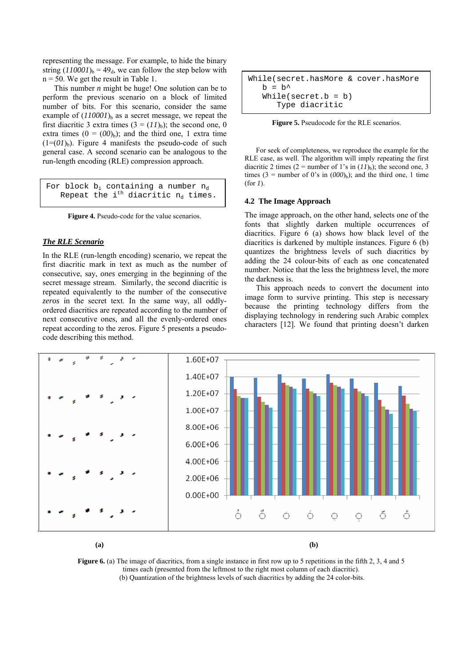representing the message. For example, to hide the binary string  $(110001)$ <sub>b</sub> = 49<sub>d</sub>, we can follow the step below with  $n = 50$ . We get the result in Table 1.

 This number *n* might be huge! One solution can be to perform the previous scenario on a block of limited number of bits. For this scenario, consider the same example of  $(110001)$ <sub>b</sub> as a secret message, we repeat the first diacritic 3 extra times  $(3 = (11)_b)$ ; the second one, 0 extra times  $(0 = (00)<sub>b</sub>)$ ; and the third one, 1 extra time  $(1=(0I)_b)$ . Figure 4 manifests the pseudo-code of such general case. A second scenario can be analogous to the run-length encoding (RLE) compression approach.

For block  $b_i$  containing a number  $n_d$ Repeat the i<sup>th</sup> diacritic  $n_d$  times.

Figure 4. Pseudo-code for the value scenarios.

# *The RLE Scenario*

In the RLE (run-length encoding) scenario, we repeat the first diacritic mark in text as much as the number of consecutive, say, *ones* emerging in the beginning of the secret message stream. Similarly, the second diacritic is repeated equivalently to the number of the consecutive *zeros* in the secret text. In the same way, all oddlyordered diacritics are repeated according to the number of next consecutive ones, and all the evenly-ordered ones repeat according to the zeros. Figure 5 presents a pseudocode describing this method.

```
While(secret.hasMore & cover.hasMore 
h = h^{\prime} While(secret.b = b) 
    Type diacritic
```


 For seek of completeness, we reproduce the example for the RLE case, as well. The algorithm will imply repeating the first diacritic 2 times (2 = number of 1's in  $(11)$ <sub>b</sub>); the second one, 3 times  $(3 =$  number of 0's in  $(000)$ <sub>b</sub>); and the third one, 1 time (for *1*).

#### **4.2 The Image Approach**

The image approach, on the other hand, selects one of the fonts that slightly darken multiple occurrences of diacritics. Figure 6 (a) shows how black level of the diacritics is darkened by multiple instances. Figure 6 (b) quantizes the brightness levels of such diacritics by adding the 24 colour-bits of each as one concatenated number. Notice that the less the brightness level, the more the darkness is.

 This approach needs to convert the document into image form to survive printing. This step is necessary because the printing technology differs from the displaying technology in rendering such Arabic complex characters [12]. We found that printing doesn't darken



**Figure 6.** (a) The image of diacritics, from a single instance in first row up to 5 repetitions in the fifth 2, 3, 4 and 5 times each (presented from the leftmost to the right most column of each diacritic). (b) Quantization of the brightness levels of such diacritics by adding the 24 color-bits.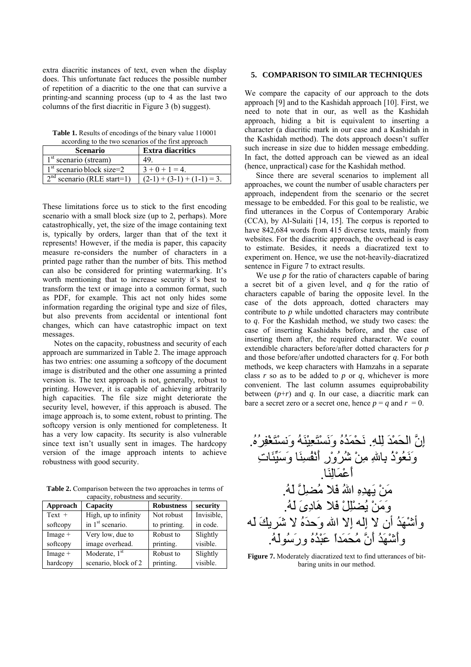extra diacritic instances of text, even when the display does. This unfortunate fact reduces the possible number of repetition of a diacritic to the one that can survive a printing-and scanning process (up to 4 as the last two columns of the first diacritic in Figure 3 (b) suggest).

**Table 1.** Results of encodings of the binary value 110001 according to the two scenarios of the first approach

| according to the two scenarios of the first approach |                              |  |  |  |
|------------------------------------------------------|------------------------------|--|--|--|
| <b>Scenario</b>                                      | <b>Extra diacritics</b>      |  |  |  |
| $1st$ scenario (stream)                              | 49                           |  |  |  |
| $1st$ scenario block size=2                          | $3+0+1=4$                    |  |  |  |
| $2nd$ scenario (RLE start=1)                         | $(2-1) + (3-1) + (1-1) = 3.$ |  |  |  |

These limitations force us to stick to the first encoding scenario with a small block size (up to 2, perhaps). More catastrophically, yet, the size of the image containing text is, typically by orders, larger than that of the text it represents! However, if the media is paper, this capacity measure re-considers the number of characters in a printed page rather than the number of bits. This method can also be considered for printing watermarking. It's worth mentioning that to increase security it's best to transform the text or image into a common format, such as PDF, for example. This act not only hides some information regarding the original type and size of files, but also prevents from accidental or intentional font changes, which can have catastrophic impact on text messages.

 Notes on the capacity, robustness and security of each approach are summarized in Table 2. The image approach has two entries: one assuming a softcopy of the document image is distributed and the other one assuming a printed version is. The text approach is not, generally, robust to printing. However, it is capable of achieving arbitrarily high capacities. The file size might deteriorate the security level, however, if this approach is abused. The image approach is, to some extent, robust to printing. The softcopy version is only mentioned for completeness. It has a very low capacity. Its security is also vulnerable since text isn't usually sent in images. The hardcopy version of the image approach intents to achieve robustness with good security.

**Table 2.** Comparison between the two approaches in terms of capacity, robustness and security.

| Approach  | Capacity                     | <b>Robustness</b> | security   |
|-----------|------------------------------|-------------------|------------|
| $Text +$  | High, up to infinity         | Not robust        | Invisible. |
| softcopy  | in 1 <sup>st</sup> scenario. | to printing.      | in code.   |
| $Image +$ | Very low, due to             | Robust to         | Slightly   |
| softcopy  | image overhead.              | printing.         | visible.   |
| $Image +$ | Moderate, 1 <sup>st</sup>    | Robust to         | Slightly   |
| hardcopy  | scenario, block of 2         | printing.         | visible.   |

# **5. COMPARISON TO SIMILAR TECHNIQUES**

We compare the capacity of our approach to the dots approach [ 9] and to the Kashidah approach [ 10]. First, we need to note that in our, as well as the Kashidah approach, hiding a bit is equivalent to inserting a character (a diacritic mark in our case and a Kashidah in the Kashidah method). The dots approach doesn't suffer such increase in size due to hidden message embedding. In fact, the dotted approach can be viewed as an ideal (hence, unpractical) case for the Kashidah method.

 Since there are several scenarios to implement all approaches, we count the number of usable characters per approach, independent from the scenario or the secret message to be embedded. For this goal to be realistic, we find utterances in the Corpus of Contemporary Arabic (CCA), by Al-Sulaiti [ 14, 15]. The corpus is reported to have 842,684 words from 415 diverse texts, mainly from websites. For the diacritic approach, the overhead is easy to estimate. Besides, it needs a diacratized text to experiment on. Hence, we use the not-heavily-diacratized sentence in Figure 7 to extract results.

We use *p* for the ratio of characters capable of baring a secret bit of a given level, and *q* for the ratio of characters capable of baring the opposite level. In the case of the dots approach, dotted characters may contribute to *p* while undotted characters may contribute to *q*. For the Kashidah method, we study two cases: the case of inserting Kashidahs before, and the case of inserting them after, the required character. We count extendible characters before/after dotted characters for *p* and those before/after undotted characters for *q*. For both methods, we keep characters with Hamzahs in a separate class *r* so as to be added to *p* or *q*, whichever is more convenient. The last column assumes equiprobability between  $(p+r)$  and  $q$ . In our case, a diacritic mark can bare a secret zero or a secret one, hence  $p = q$  and  $r = 0$ .

إِنَّ الحَمْدَ لِله.ِ نَحْمَدُهُ وَنَسْتَعِيْنَهُ وَنسْتَغْفِرُه.ُ وَنَعُوْذُ بِااللهِ مِنْ شُرُوْرِ أَنْفُسِنَا وَسَيِّئَاتِ أَعْمَالِنَا. مَنْ يَهدِهِ االلهُ فَلا مُضِلَّ لَه.ُ وَمَنْ يُضْلِلْ فَلا هَادِىَ لَه.ُ وأشْهَدُ أن لا إِله إِلا االله وَحدَهُ لا شَريكَ لَه وأَشْهَدُ أَنَّ مُحَمَداً عَبْدُهُ ورَسُولَه.ُ

**Figure 7.** Moderately diacratized text to find utterances of bitbaring units in our method.